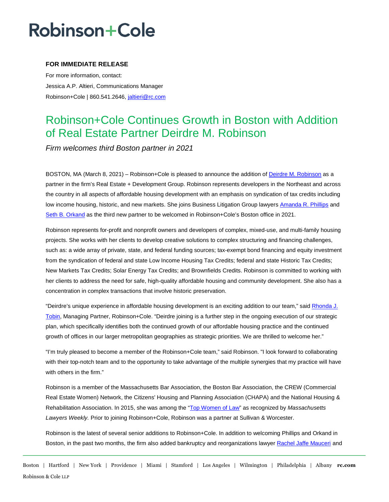## **Robinson+Cole**

### **FOR IMMEDIATE RELEASE**

For more information, contact: Jessica A.P. Altieri, Communications Manager Robinson+Cole | 860.541.2646, [jaltieri@rc.com](mailto:jaltieri@rc.com)

### Robinson+Cole Continues Growth in Boston with Addition of Real Estate Partner Deirdre M. Robinson

*Firm welcomes third Boston partner in 2021* 

BOSTON, MA (March 8, 2021) – Robinson+Cole is pleased to announce the addition of [Deirdre M. Robinson](http://www.rc.com/people/DeirdreRobinson.cfm) as a partner in the firm's Real Estate + Development Group. Robinson represents developers in the Northeast and across the country in all aspects of affordable housing development with an emphasis on syndication of tax credits including low income housing, historic, and new markets. She joins Business Litigation Group lawyer[s Amanda R. Phillips](http://www.rc.com/people/AmandaPhillips.cfm) and [Seth B. Orkand](http://www.rc.com/people/SethOrkand.cfm#overview) as the third new partner to be welcomed in Robinson+Cole's Boston office in 2021.

Robinson represents for-profit and nonprofit owners and developers of complex, mixed-use, and multi-family housing projects. She works with her clients to develop creative solutions to complex structuring and financing challenges, such as: a wide array of private, state, and federal funding sources; tax-exempt bond financing and equity investment from the syndication of federal and state Low Income Housing Tax Credits; federal and state Historic Tax Credits; New Markets Tax Credits; Solar Energy Tax Credits; and Brownfields Credits. Robinson is committed to working with her clients to address the need for safe, high-quality affordable housing and community development. She also has a concentration in complex transactions that involve historic preservation.

"Deirdre's unique experience in affordable housing development is an exciting addition to our team," said Rhonda J. Tobin, Managing Partner, Robinson+Cole. "Deirdre joining is a further step in the ongoing execution of our strategic plan, which specifically identifies both the continued growth of our affordable housing practice and the continued growth of offices in our larger metropolitan geographies as strategic priorities. We are thrilled to welcome her."

"I'm truly pleased to become a member of the Robinson+Cole team," said Robinson. "I look forward to collaborating with their top-notch team and to the opportunity to take advantage of the multiple synergies that my practice will have with others in the firm."

Robinson is a member of the Massachusetts Bar Association, the Boston Bar Association, the CREW (Commercial Real Estate Women) Network, the Citizens' Housing and Planning Association (CHAPA) and the National Housing & Rehabilitation Association. In 2015, she was among the ["Top Women of Law"](https://masslawyersweekly.com/files/2015/10/TOPW-15-WEB1.pdf) as recognized by *Massachusetts Lawyers Weekly.* Prior to joining Robinson+Cole, Robinson was a partner at Sullivan & Worcester.

Robinson is the latest of several senior additions to Robinson+Cole. In addition to welcoming Phillips and Orkand in Boston, in the past two months, the firm also added bankruptcy and reorganizations lawye[r Rachel Jaffe Mauceri](http://www.rc.com/people/RachelMauceri.cfm) and

Boston | Hartford | New York | Providence | Miami | Stamford | Los Angeles | Wilmington | Philadelphia | Albany **rc.com** Robinson & Cole LLP